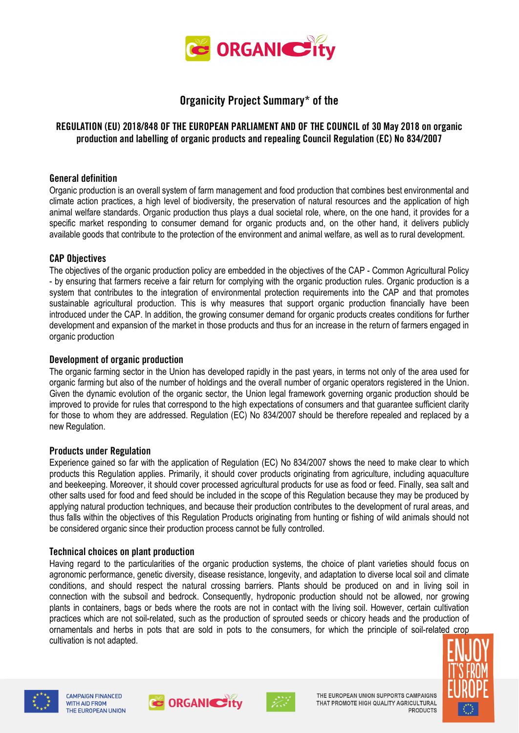

# **Organicity Project Summary\* of the**

# **REGULATION (EU) 2018/848 OF THE EUROPEAN PARLIAMENT AND OF THE COUNCIL of 30 May 2018 on organic production and labelling of organic products and repealing Council Regulation (EC) No 834/2007**

# **General definition**

Organic production is an overall system of farm management and food production that combines best environmental and climate action practices, a high level of biodiversity, the preservation of natural resources and the application of high animal welfare standards. Organic production thus plays a dual societal role, where, on the one hand, it provides for a specific market responding to consumer demand for organic products and, on the other hand, it delivers publicly available goods that contribute to the protection of the environment and animal welfare, as well as to rural development.

#### **CAP Objectives**

The objectives of the organic production policy are embedded in the objectives of the CAP - Common Agricultural Policy - by ensuring that farmers receive a fair return for complying with the organic production rules. Organic production is a system that contributes to the integration of environmental protection requirements into the CAP and that promotes sustainable agricultural production. This is why measures that support organic production financially have been introduced under the CAP. In addition, the growing consumer demand for organic products creates conditions for further development and expansion of the market in those products and thus for an increase in the return of farmers engaged in organic production

# **Development of organic production**

The organic farming sector in the Union has developed rapidly in the past years, in terms not only of the area used for organic farming but also of the number of holdings and the overall number of organic operators registered in the Union. Given the dynamic evolution of the organic sector, the Union legal framework governing organic production should be improved to provide for rules that correspond to the high expectations of consumers and that guarantee sufficient clarity for those to whom they are addressed. Regulation (EC) No 834/2007 should be therefore repealed and replaced by a new Regulation.

#### **Products under Regulation**

Experience gained so far with the application of Regulation (EC) No 834/2007 shows the need to make clear to which products this Regulation applies. Primarily, it should cover products originating from agriculture, including aquaculture and beekeeping. Moreover, it should cover processed agricultural products for use as food or feed. Finally, sea salt and other salts used for food and feed should be included in the scope of this Regulation because they may be produced by applying natural production techniques, and because their production contributes to the development of rural areas, and thus falls within the objectives of this Regulation Products originating from hunting or fishing of wild animals should not be considered organic since their production process cannot be fully controlled.

#### **Technical choices on plant production**

Having regard to the particularities of the organic production systems, the choice of plant varieties should focus on agronomic performance, genetic diversity, disease resistance, longevity, and adaptation to diverse local soil and climate conditions, and should respect the natural crossing barriers. Plants should be produced on and in living soil in connection with the subsoil and bedrock. Consequently, hydroponic production should not be allowed, nor growing plants in containers, bags or beds where the roots are not in contact with the living soil. However, certain cultivation practices which are not soil-related, such as the production of sprouted seeds or chicory heads and the production of ornamentals and herbs in pots that are sold in pots to the consumers, for which the principle of soil-related crop cultivation is not adapted.







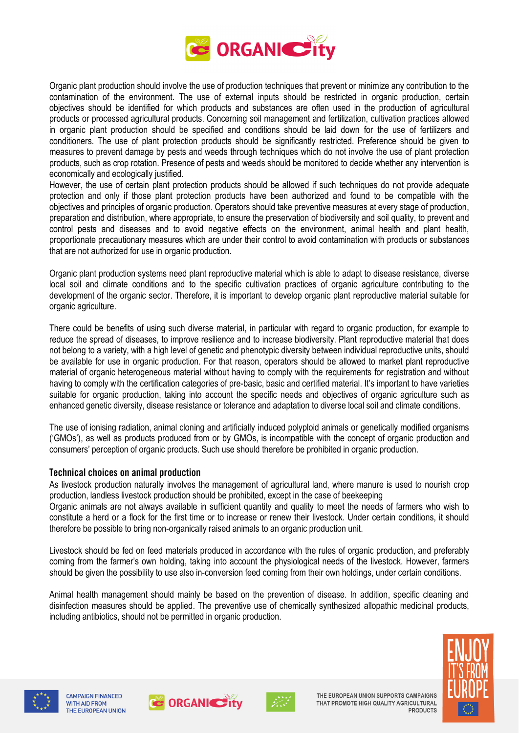

Organic plant production should involve the use of production techniques that prevent or minimize any contribution to the contamination of the environment. The use of external inputs should be restricted in organic production, certain objectives should be identified for which products and substances are often used in the production of agricultural products or processed agricultural products. Concerning soil management and fertilization, cultivation practices allowed in organic plant production should be specified and conditions should be laid down for the use of fertilizers and conditioners. The use of plant protection products should be significantly restricted. Preference should be given to measures to prevent damage by pests and weeds through techniques which do not involve the use of plant protection products, such as crop rotation. Presence of pests and weeds should be monitored to decide whether any intervention is economically and ecologically justified.

However, the use of certain plant protection products should be allowed if such techniques do not provide adequate protection and only if those plant protection products have been authorized and found to be compatible with the objectives and principles of organic production. Operators should take preventive measures at every stage of production, preparation and distribution, where appropriate, to ensure the preservation of biodiversity and soil quality, to prevent and control pests and diseases and to avoid negative effects on the environment, animal health and plant health, proportionate precautionary measures which are under their control to avoid contamination with products or substances that are not authorized for use in organic production.

Organic plant production systems need plant reproductive material which is able to adapt to disease resistance, diverse local soil and climate conditions and to the specific cultivation practices of organic agriculture contributing to the development of the organic sector. Therefore, it is important to develop organic plant reproductive material suitable for organic agriculture.

There could be benefits of using such diverse material, in particular with regard to organic production, for example to reduce the spread of diseases, to improve resilience and to increase biodiversity. Plant reproductive material that does not belong to a variety, with a high level of genetic and phenotypic diversity between individual reproductive units, should be available for use in organic production. For that reason, operators should be allowed to market plant reproductive material of organic heterogeneous material without having to comply with the requirements for registration and without having to comply with the certification categories of pre-basic, basic and certified material. It's important to have varieties suitable for organic production, taking into account the specific needs and objectives of organic agriculture such as enhanced genetic diversity, disease resistance or tolerance and adaptation to diverse local soil and climate conditions.

The use of ionising radiation, animal cloning and artificially induced polyploid animals or genetically modified organisms ('GMOs'), as well as products produced from or by GMOs, is incompatible with the concept of organic production and consumers' perception of organic products. Such use should therefore be prohibited in organic production.

# **Technical choices on animal production**

As livestock production naturally involves the management of agricultural land, where manure is used to nourish crop production, landless livestock production should be prohibited, except in the case of beekeeping

Organic animals are not always available in sufficient quantity and quality to meet the needs of farmers who wish to constitute a herd or a flock for the first time or to increase or renew their livestock. Under certain conditions, it should therefore be possible to bring non-organically raised animals to an organic production unit.

Livestock should be fed on feed materials produced in accordance with the rules of organic production, and preferably coming from the farmer's own holding, taking into account the physiological needs of the livestock. However, farmers should be given the possibility to use also in-conversion feed coming from their own holdings, under certain conditions.

Animal health management should mainly be based on the prevention of disease. In addition, specific cleaning and disinfection measures should be applied. The preventive use of chemically synthesized allopathic medicinal products, including antibiotics, should not be permitted in organic production.







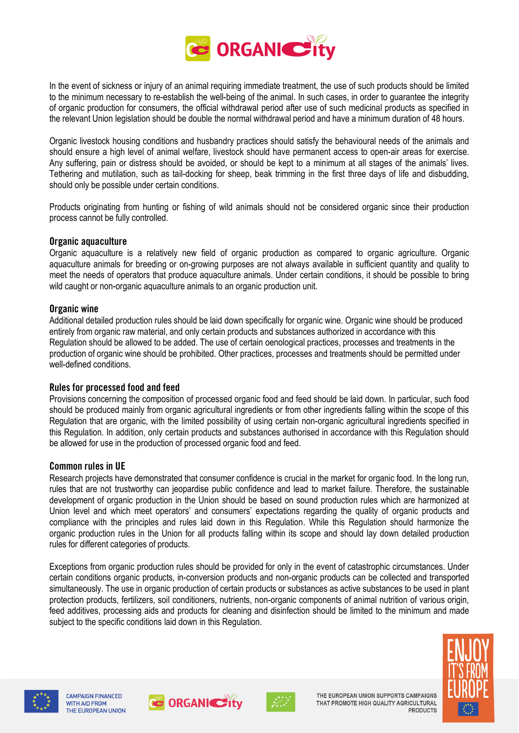

In the event of sickness or injury of an animal requiring immediate treatment, the use of such products should be limited to the minimum necessary to re-establish the well-being of the animal. In such cases, in order to guarantee the integrity of organic production for consumers, the official withdrawal period after use of such medicinal products as specified in the relevant Union legislation should be double the normal withdrawal period and have a minimum duration of 48 hours.

Organic livestock housing conditions and husbandry practices should satisfy the behavioural needs of the animals and should ensure a high level of animal welfare, livestock should have permanent access to open-air areas for exercise. Any suffering, pain or distress should be avoided, or should be kept to a minimum at all stages of the animals' lives. Tethering and mutilation, such as tail-docking for sheep, beak trimming in the first three days of life and disbudding, should only be possible under certain conditions.

Products originating from hunting or fishing of wild animals should not be considered organic since their production process cannot be fully controlled.

#### **Organic aquaculture**

Organic aquaculture is a relatively new field of organic production as compared to organic agriculture. Organic aquaculture animals for breeding or on-growing purposes are not always available in sufficient quantity and quality to meet the needs of operators that produce aquaculture animals. Under certain conditions, it should be possible to bring wild caught or non-organic aquaculture animals to an organic production unit.

#### **Organic wine**

Additional detailed production rules should be laid down specifically for organic wine. Organic wine should be produced entirely from organic raw material, and only certain products and substances authorized in accordance with this Regulation should be allowed to be added. The use of certain oenological practices, processes and treatments in the production of organic wine should be prohibited. Other practices, processes and treatments should be permitted under well-defined conditions.

# **Rules for processed food and feed**

Provisions concerning the composition of processed organic food and feed should be laid down. In particular, such food should be produced mainly from organic agricultural ingredients or from other ingredients falling within the scope of this Regulation that are organic, with the limited possibility of using certain non-organic agricultural ingredients specified in this Regulation. In addition, only certain products and substances authorised in accordance with this Regulation should be allowed for use in the production of processed organic food and feed.

#### **Common rules in UE**

Research projects have demonstrated that consumer confidence is crucial in the market for organic food. In the long run, rules that are not trustworthy can jeopardise public confidence and lead to market failure. Therefore, the sustainable development of organic production in the Union should be based on sound production rules which are harmonized at Union level and which meet operators' and consumers' expectations regarding the quality of organic products and compliance with the principles and rules laid down in this Regulation. While this Regulation should harmonize the organic production rules in the Union for all products falling within its scope and should lay down detailed production rules for different categories of products.

Exceptions from organic production rules should be provided for only in the event of catastrophic circumstances. Under certain conditions organic products, in-conversion products and non-organic products can be collected and transported simultaneously. The use in organic production of certain products or substances as active substances to be used in plant protection products, fertilizers, soil conditioners, nutrients, non-organic components of animal nutrition of various origin, feed additives, processing aids and products for cleaning and disinfection should be limited to the minimum and made subject to the specific conditions laid down in this Regulation.







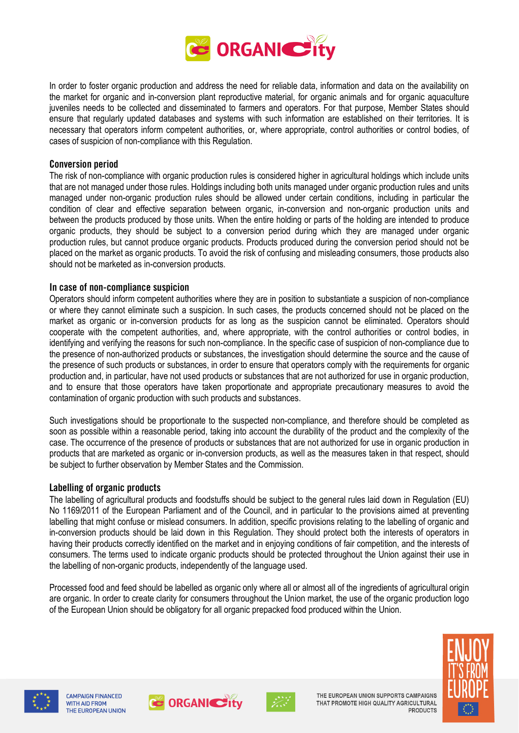

In order to foster organic production and address the need for reliable data, information and data on the availability on the market for organic and in-conversion plant reproductive material, for organic animals and for organic aquaculture juveniles needs to be collected and disseminated to farmers and operators. For that purpose, Member States should ensure that regularly updated databases and systems with such information are established on their territories. It is necessary that operators inform competent authorities, or, where appropriate, control authorities or control bodies, of cases of suspicion of non-compliance with this Regulation.

#### **Conversion period**

The risk of non-compliance with organic production rules is considered higher in agricultural holdings which include units that are not managed under those rules. Holdings including both units managed under organic production rules and units managed under non-organic production rules should be allowed under certain conditions, including in particular the condition of clear and effective separation between organic, in-conversion and non-organic production units and between the products produced by those units. When the entire holding or parts of the holding are intended to produce organic products, they should be subject to a conversion period during which they are managed under organic production rules, but cannot produce organic products. Products produced during the conversion period should not be placed on the market as organic products. To avoid the risk of confusing and misleading consumers, those products also should not be marketed as in-conversion products.

# **In case of non-compliance suspicion**

Operators should inform competent authorities where they are in position to substantiate a suspicion of non-compliance or where they cannot eliminate such a suspicion. In such cases, the products concerned should not be placed on the market as organic or in-conversion products for as long as the suspicion cannot be eliminated. Operators should cooperate with the competent authorities, and, where appropriate, with the control authorities or control bodies, in identifying and verifying the reasons for such non-compliance. In the specific case of suspicion of non-compliance due to the presence of non-authorized products or substances, the investigation should determine the source and the cause of the presence of such products or substances, in order to ensure that operators comply with the requirements for organic production and, in particular, have not used products or substances that are not authorized for use in organic production, and to ensure that those operators have taken proportionate and appropriate precautionary measures to avoid the contamination of organic production with such products and substances.

Such investigations should be proportionate to the suspected non-compliance, and therefore should be completed as soon as possible within a reasonable period, taking into account the durability of the product and the complexity of the case. The occurrence of the presence of products or substances that are not authorized for use in organic production in products that are marketed as organic or in-conversion products, as well as the measures taken in that respect, should be subject to further observation by Member States and the Commission.

#### **Labelling of organic products**

The labelling of agricultural products and foodstuffs should be subject to the general rules laid down in Regulation (EU) No 1169/2011 of the European Parliament and of the Council, and in particular to the provisions aimed at preventing labelling that might confuse or mislead consumers. In addition, specific provisions relating to the labelling of organic and in-conversion products should be laid down in this Regulation. They should protect both the interests of operators in having their products correctly identified on the market and in enjoying conditions of fair competition, and the interests of consumers. The terms used to indicate organic products should be protected throughout the Union against their use in the labelling of non-organic products, independently of the language used.

Processed food and feed should be labelled as organic only where all or almost all of the ingredients of agricultural origin are organic. In order to create clarity for consumers throughout the Union market, the use of the organic production logo of the European Union should be obligatory for all organic prepacked food produced within the Union.